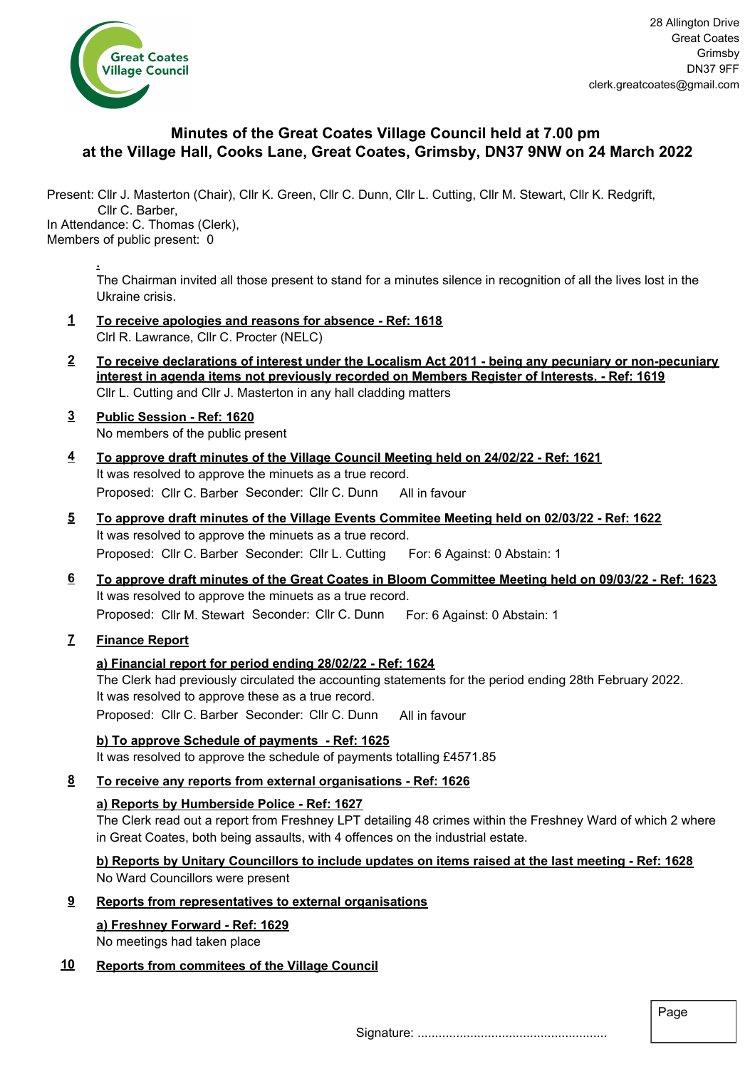

# **Minutes of the Great Coates Village Council held at 7.00 pm at the Village Hall, Cooks Lane, Great Coates, Grimsby, DN37 9NW on 24 March 2022**

Present: Cllr J. Masterton (Chair), Cllr K. Green, Cllr C. Dunn, Cllr L. Cutting, Cllr M. Stewart, Cllr K. Redgrift, Cllr C. Barber, In Attendance: C. Thomas (Clerk),

Members of public present: 0

**.**

The Chairman invited all those present to stand for a minutes silence in recognition of all the lives lost in the Ukraine crisis.

- **1 To receive apologies and reasons for absence Ref: 1618** Clrl R. Lawrance, Cllr C. Procter (NELC)
- **2 To receive declarations of interest under the Localism Act 2011 being any pecuniary or non-pecuniary interest in agenda items not previously recorded on Members Register of Interests. - Ref: 1619** Cllr L. Cutting and Cllr J. Masterton in any hall cladding matters
- **3 Public Session Ref: 1620** No members of the public present
- **4 To approve draft minutes of the Village Council Meeting held on 24/02/22 Ref: 1621** It was resolved to approve the minuets as a true record. Proposed: Cllr C. Barber Seconder: Cllr C. Dunn All in favour
- **5 To approve draft minutes of the Village Events Commitee Meeting held on 02/03/22 Ref: 1622** It was resolved to approve the minuets as a true record. Proposed: Cllr C. Barber Seconder: Cllr L. Cutting For: 6 Against: 0 Abstain: 1
- **6 To approve draft minutes of the Great Coates in Bloom Committee Meeting held on 09/03/22 Ref: 1623** It was resolved to approve the minuets as a true record. Proposed: Cllr M. Stewart Seconder: Cllr C. Dunn For: 6 Against: 0 Abstain: 1

# **7 Finance Report**

## **a) Financial report for period ending 28/02/22 - Ref: 1624**

The Clerk had previously circulated the accounting statements for the period ending 28th February 2022. It was resolved to approve these as a true record. Proposed: Cllr C. Barber Seconder: Cllr C. Dunn All in favour

**b) To approve Schedule of payments - Ref: 1625** It was resolved to approve the schedule of payments totalling £4571.85

## **8 To receive any reports from external organisations - Ref: 1626**

### **a) Reports by Humberside Police - Ref: 1627**

The Clerk read out a report from Freshney LPT detailing 48 crimes within the Freshney Ward of which 2 where in Great Coates, both being assaults, with 4 offences on the industrial estate.

**b) Reports by Unitary Councillors to include updates on items raised at the last meeting - Ref: 1628** No Ward Councillors were present

### **9 Reports from representatives to external organisations**

## **a) Freshney Forward - Ref: 1629**

No meetings had taken place

## **10 Reports from commitees of the Village Council**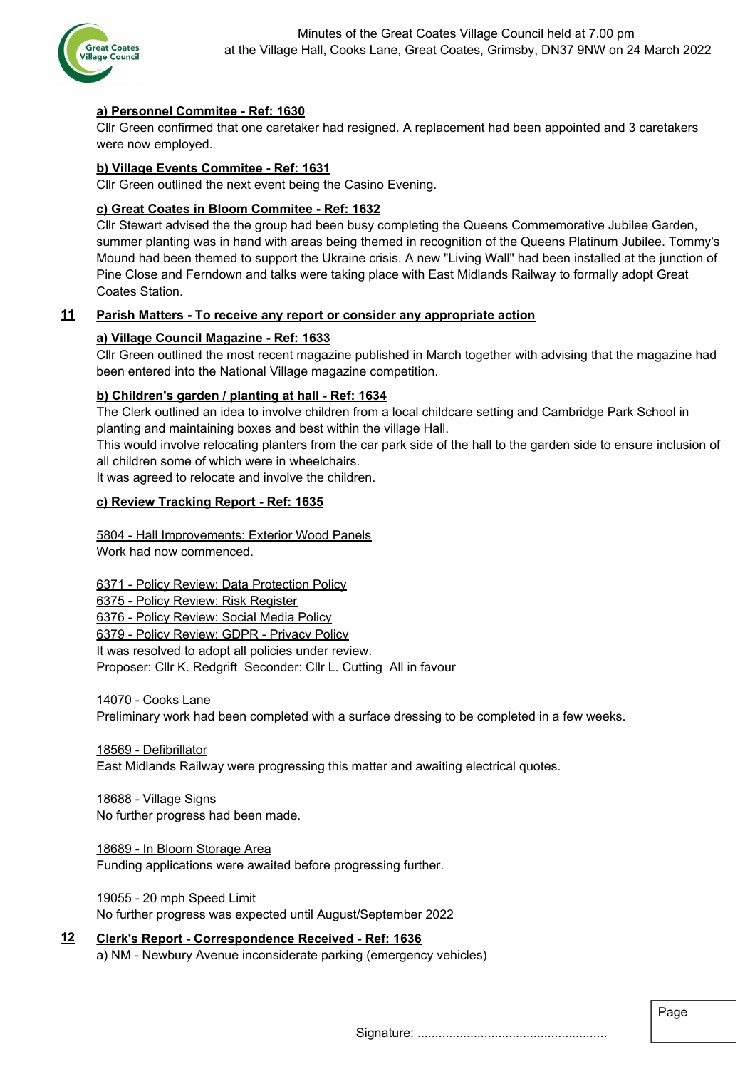

## **a) Personnel Commitee - Ref: 1630**

Cllr Green confirmed that one caretaker had resigned. A replacement had been appointed and 3 caretakers were now employed.

### **b) Village Events Commitee - Ref: 1631**

Cllr Green outlined the next event being the Casino Evening.

### **c) Great Coates in Bloom Commitee - Ref: 1632**

Cllr Stewart advised the the group had been busy completing the Queens Commemorative Jubilee Garden, summer planting was in hand with areas being themed in recognition of the Queens Platinum Jubilee. Tommy's Mound had been themed to support the Ukraine crisis. A new "Living Wall" had been installed at the junction of Pine Close and Ferndown and talks were taking place with East Midlands Railway to formally adopt Great Coates Station.

## **11 Parish Matters - To receive any report or consider any appropriate action**

### **a) Village Council Magazine - Ref: 1633**

Cllr Green outlined the most recent magazine published in March together with advising that the magazine had been entered into the National Village magazine competition.

### **b) Children's garden / planting at hall - Ref: 1634**

The Clerk outlined an idea to involve children from a local childcare setting and Cambridge Park School in planting and maintaining boxes and best within the village Hall.

This would involve relocating planters from the car park side of the hall to the garden side to ensure inclusion of all children some of which were in wheelchairs.

It was agreed to relocate and involve the children.

#### **c) Review Tracking Report - Ref: 1635**

5804 - Hall Improvements: Exterior Wood Panels Work had now commenced.

6371 - Policy Review: Data Protection Policy

6375 - Policy Review: Risk Register

6376 - Policy Review: Social Media Policy

6379 - Policy Review: GDPR - Privacy Policy

It was resolved to adopt all policies under review.

Proposer: Cllr K. Redgrift Seconder: Cllr L. Cutting All in favour

14070 - Cooks Lane

Preliminary work had been completed with a surface dressing to be completed in a few weeks.

#### 18569 - Defibrillator

East Midlands Railway were progressing this matter and awaiting electrical quotes.

18688 - Village Signs No further progress had been made.

18689 - In Bloom Storage Area Funding applications were awaited before progressing further.

19055 - 20 mph Speed Limit No further progress was expected until August/September 2022

**12 Clerk's Report - Correspondence Received - Ref: 1636** a) NM - Newbury Avenue inconsiderate parking (emergency vehicles)